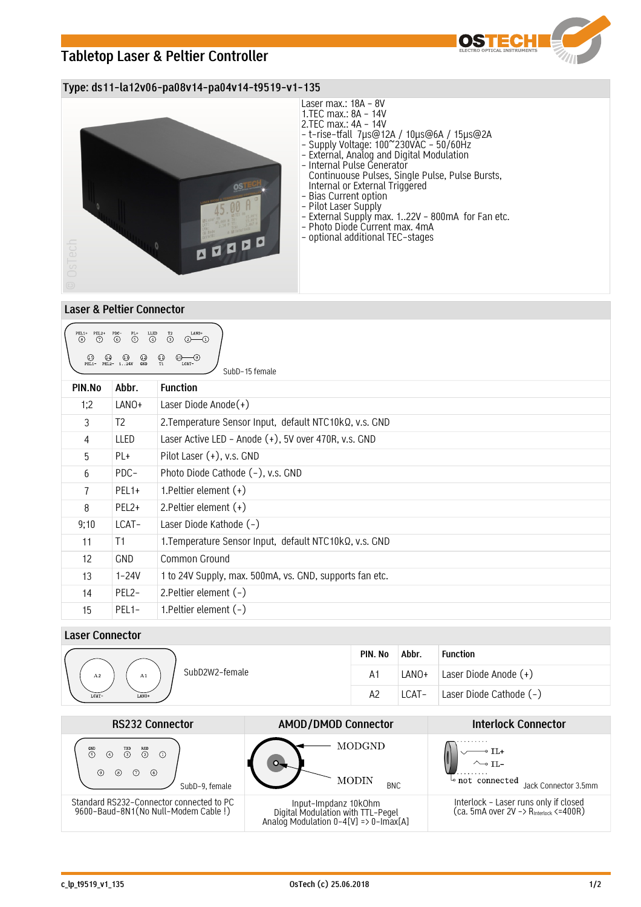# **Tabletop Laser & Peltier Controller**



### **Type: ds11-la12v06-pa08v14-pa04v14-t9519-v1-135**



## **Laser & Peltier Connector**

| $PEL1+$ $PEL2+$<br>$\overline{6}$<br>$\overset{\text{LLED}}{\textcircled{\textsc{\bf(1)}}}$<br>LANO+<br>$\overline{\text{S}}$<br>$\overset{\text{T2}}{\textcircled{\scriptsize{3}}}$<br>$\odot$<br>$(2)$ - $(1)$<br>$\circledS$<br>$\bigoplus_{T1}$<br>$\bigoplus_{\text{PEL1}-}$<br>$(1)$ $(1)$<br>PEL2- 124V<br>$^{\bigodot}_{\text{GND}}$<br>(10)<br>—(9)<br>LCAT-<br>SubD-15 female |                    |                                                         |  |  |  |
|-----------------------------------------------------------------------------------------------------------------------------------------------------------------------------------------------------------------------------------------------------------------------------------------------------------------------------------------------------------------------------------------|--------------------|---------------------------------------------------------|--|--|--|
| PIN.No                                                                                                                                                                                                                                                                                                                                                                                  | Abbr.              | <b>Function</b>                                         |  |  |  |
| 1;2                                                                                                                                                                                                                                                                                                                                                                                     | LANO+              | Laser Diode Anode $(+)$                                 |  |  |  |
| 3                                                                                                                                                                                                                                                                                                                                                                                       | T2                 | 2. Temperature Sensor Input, default NTC10kQ, v.s. GND  |  |  |  |
| $\overline{4}$                                                                                                                                                                                                                                                                                                                                                                          | LLED               | Laser Active LED - Anode (+), 5V over 470R, v.s. GND    |  |  |  |
| 5                                                                                                                                                                                                                                                                                                                                                                                       | PL+                | Pilot Laser (+), v.s. GND                               |  |  |  |
| 6                                                                                                                                                                                                                                                                                                                                                                                       | PDC-               | Photo Diode Cathode (-), v.s. GND                       |  |  |  |
| $\overline{1}$                                                                                                                                                                                                                                                                                                                                                                          | PEL <sub>1+</sub>  | 1. Peltier element $(+)$                                |  |  |  |
| 8                                                                                                                                                                                                                                                                                                                                                                                       | PEL <sub>2+</sub>  | 2. Peltier element $(+)$                                |  |  |  |
| 9;10                                                                                                                                                                                                                                                                                                                                                                                    | LCAT-              | Laser Diode Kathode (-)                                 |  |  |  |
| 11                                                                                                                                                                                                                                                                                                                                                                                      | T1                 | 1. Temperature Sensor Input, default NTC10kQ, v.s. GND  |  |  |  |
| 12                                                                                                                                                                                                                                                                                                                                                                                      | <b>GND</b>         | Common Ground                                           |  |  |  |
| 13                                                                                                                                                                                                                                                                                                                                                                                      | 1-24V              | 1 to 24V Supply, max. 500mA, vs. GND, supports fan etc. |  |  |  |
| 14                                                                                                                                                                                                                                                                                                                                                                                      | PEL <sub>2</sub> - | 2. Peltier element $(-)$                                |  |  |  |
| 15                                                                                                                                                                                                                                                                                                                                                                                      | PEL <sub>1</sub> - | 1. Peltier element $(-)$                                |  |  |  |

## **Laser Connector**

|                            | PIN. No       | Abbr. | <b>Function</b>         |
|----------------------------|---------------|-------|-------------------------|
| SubD2W2-female<br>A2<br>A1 | $A^{\dagger}$ | LANO+ | Laser Diode Anode (+)   |
| LCAT-<br>LANO+             | A2            | LCAT- | Laser Diode Cathode (-) |

| <b>RS232 Connector</b>                                                                                              | <b>AMOD/DMOD Connector</b>                                                                         | <b>Interlock Connector</b>                                                                  |
|---------------------------------------------------------------------------------------------------------------------|----------------------------------------------------------------------------------------------------|---------------------------------------------------------------------------------------------|
| $\overset{\text{GND}}{(\mathbb{5})}$<br>$\binom{RXD}{2}$<br>$\bigcirc$ <sup>TXD</sup><br>◉<br>(s)<br>SubD-9, female | MODGND<br><b>MODIN</b><br><b>BNC</b>                                                               | $\sim$ TI.-<br>$\sim$ not connected<br>Jack Connector 3.5mm                                 |
| Standard RS232-Connector connected to PC<br>9600-Baud-8N1(No Null-Modem Cable!)                                     | Input-Impdanz 10kOhm<br>Digital Modulation with TTL-Pegel<br>Analog Modulation 0-4[V] => 0-Imax[A] | Interlock - Laser runs only if closed<br>(ca. 5mA over 2V -> R <sub>Interlock</sub> <=400R) |